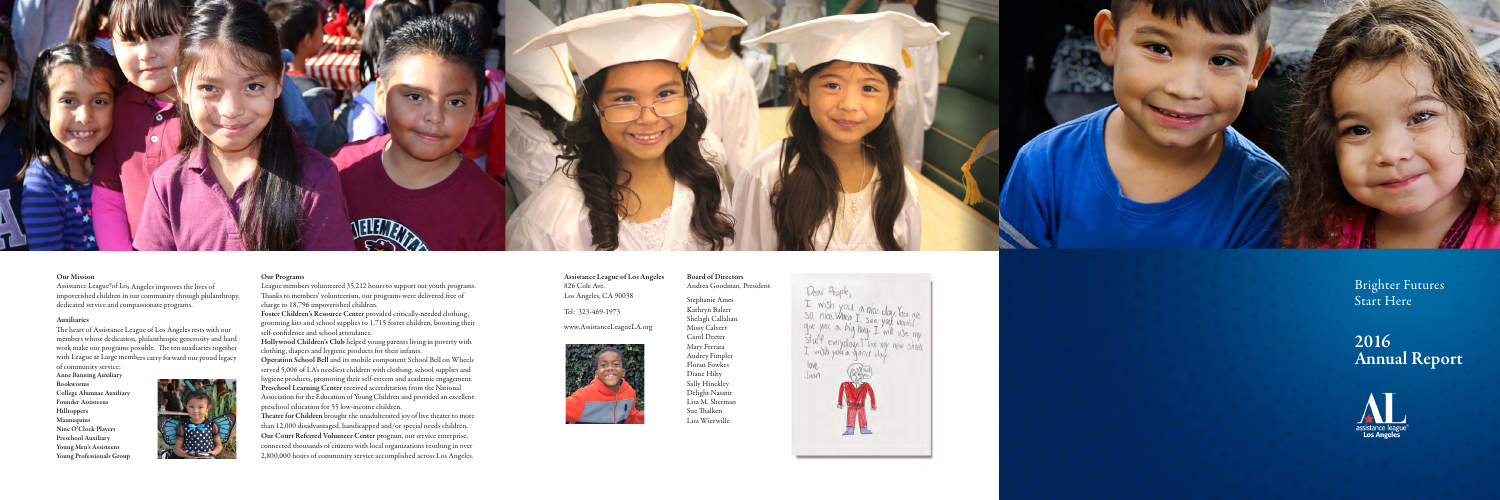#### **Our Programs**

League members volunteered 35,212 hours to support our youth programs. Thanks to members' volunteerism, our programs were delivered free of charge to 18,796 impoverished children.

**Foster Children's Resource Center** provided critically-needed clothing, grooming kits and school supplies to 1,715 foster children, boosting their self-confidence and school attendance.

**Hollywood Children's Club** helped young parents living in poverty with clothing, diapers and hygiene products for their infants.

Theatre for Children brought the unadulterated joy of live theater to more than 12,000 disadvantaged, handicapped and/or special needs children.

**Operation School Bell** and its mobile component School Bell on Wheels served 5,006 of LA's neediest children with clothing, school supplies and hygiene products, promoting their self-esteem and academic engagement. **Preschool Learning Center** received accreditation from the National Association for the Education of Young Children and provided an excellent preschool education for 55 low-income children.

The heart of Assistance League of Los Angeles rests with our members whose dedication, philanthropic generosity and hard work make our programs possible. The ten auxiliaries together with League at Large members carry forward our proud legacy

> **Our Court Referred Volunteer Center** program, our service enterprise, connected thousands of citizens with local organizations resulting in over 2,800,000 hours of community service accomplished across Los Angeles.



## **Our Mission**

Assistance League ®of Los Angeles improves the lives of impoverished children in our community through philanthropy, dedicated service and compassionate programs.

## **Auxiliaries**

| <b>Assistance League of Los Angeles</b><br>826 Cole Ave. | F<br>F |
|----------------------------------------------------------|--------|
| Los Angeles, CA 90038                                    | S      |
| Tel: 323-469-1973                                        | ŀ      |
| www.AssistanceLeagueLA.org                               | S<br>Ŋ |
|                                                          | C<br>Ņ |
|                                                          | ŀ      |
|                                                          | F<br>Ι |
|                                                          |        |



# **Board of Directors** Andrea Goodman, President

Stephanie Ames Kathryn Balzer Shelagh Callahan Missy Calvert Carol Deeter Mary Ferrara Audrey Fimpler Floran Fowkes Diane Hilty Sally Hinckley Delight Nasatir Lisa M. Sherman Sue Thalken Lisa Wierwille



of community service: **Anne Banning Auxiliary Bookworms College Alumnae Auxiliary Founder Assisteens Hilltoppers Mannequins Nine O'Clock Players Preschool Auxiliary Young Men's Assisteens Young Professionals Group**



# Brighter Futures

Start Here

**2016**



# **Annual Report**